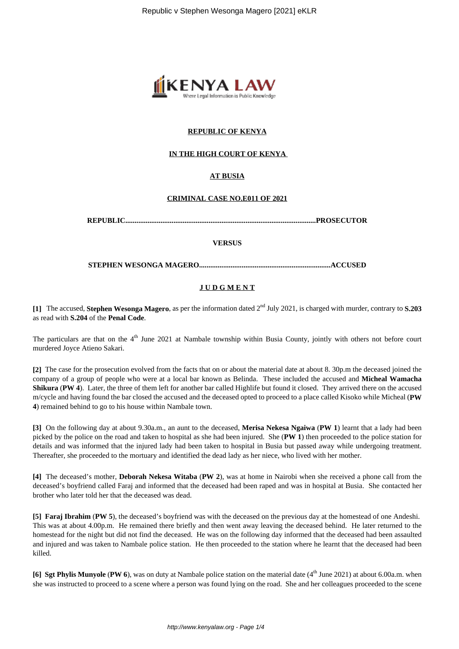

## **REPUBLIC OF KENYA**

### **IN THE HIGH COURT OF KENYA**

## **AT BUSIA**

#### **CRIMINAL CASE NO.E011 OF 2021**

**REPUBLIC.......................................................................................................PROSECUTOR**

#### **VERSUS**

**STEPHEN WESONGA MAGERO.......................................................................ACCUSED**

# **J U D G M E N T**

**[1]** The accused, **Stephen Wesonga Magero**, as per the information dated 2nd July 2021, is charged with murder, contrary to **S.203** as read with **S.204** of the **Penal Code**.

The particulars are that on the 4<sup>th</sup> June 2021 at Nambale township within Busia County, jointly with others not before court murdered Joyce Atieno Sakari.

**[2]** The case for the prosecution evolved from the facts that on or about the material date at about 8. 30p.m the deceased joined the company of a group of people who were at a local bar known as Belinda. These included the accused and **Micheal Wamacha Shikura** (**PW 4**). Later, the three of them left for another bar called Highlife but found it closed. They arrived there on the accused m/cycle and having found the bar closed the accused and the deceased opted to proceed to a place called Kisoko while Micheal (**PW 4**) remained behind to go to his house within Nambale town.

**[3]** On the following day at about 9.30a.m., an aunt to the deceased, **Merisa Nekesa Ngaiwa** (**PW 1**) learnt that a lady had been picked by the police on the road and taken to hospital as she had been injured. She (**PW 1**) then proceeded to the police station for details and was informed that the injured lady had been taken to hospital in Busia but passed away while undergoing treatment. Thereafter, she proceeded to the mortuary and identified the dead lady as her niece, who lived with her mother.

**[4]** The deceased's mother, **Deborah Nekesa Witaba** (**PW 2**), was at home in Nairobi when she received a phone call from the deceased's boyfriend called Faraj and informed that the deceased had been raped and was in hospital at Busia. She contacted her brother who later told her that the deceased was dead.

**[5] Faraj Ibrahim** (**PW 5**), the deceased's boyfriend was with the deceased on the previous day at the homestead of one Andeshi. This was at about 4.00p.m. He remained there briefly and then went away leaving the deceased behind. He later returned to the homestead for the night but did not find the deceased. He was on the following day informed that the deceased had been assaulted and injured and was taken to Nambale police station. He then proceeded to the station where he learnt that the deceased had been killed.

**[6] Sgt Phylis Munyole** (**PW 6**), was on duty at Nambale police station on the material date (4<sup>th</sup> June 2021) at about 6.00a.m. when she was instructed to proceed to a scene where a person was found lying on the road. She and her colleagues proceeded to the scene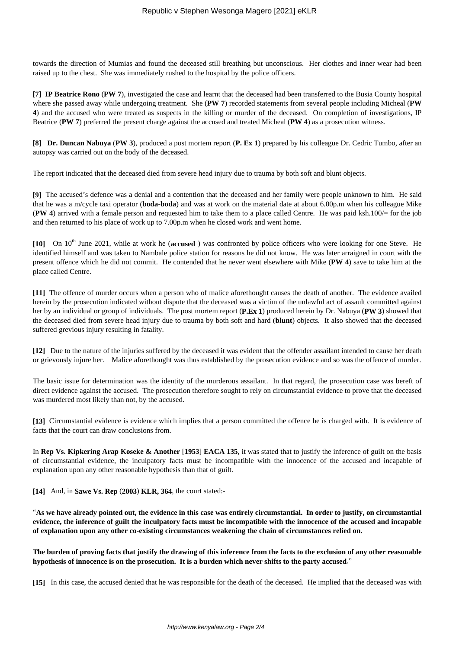towards the direction of Mumias and found the deceased still breathing but unconscious. Her clothes and inner wear had been raised up to the chest. She was immediately rushed to the hospital by the police officers.

**[7] IP Beatrice Rono** (**PW 7**), investigated the case and learnt that the deceased had been transferred to the Busia County hospital where she passed away while undergoing treatment. She (**PW 7**) recorded statements from several people including Micheal (**PW 4**) and the accused who were treated as suspects in the killing or murder of the deceased. On completion of investigations, IP Beatrice (**PW 7**) preferred the present charge against the accused and treated Micheal (**PW 4**) as a prosecution witness.

**[8] Dr. Duncan Nabuya** (**PW 3**), produced a post mortem report (**P. Ex 1**) prepared by his colleague Dr. Cedric Tumbo, after an autopsy was carried out on the body of the deceased.

The report indicated that the deceased died from severe head injury due to trauma by both soft and blunt objects.

**[9]** The accused's defence was a denial and a contention that the deceased and her family were people unknown to him. He said that he was a m/cycle taxi operator (**boda-boda**) and was at work on the material date at about 6.00p.m when his colleague Mike (**PW 4**) arrived with a female person and requested him to take them to a place called Centre. He was paid ksh.100/= for the job and then returned to his place of work up to 7.00p.m when he closed work and went home.

[10] On 10<sup>th</sup> June 2021, while at work he (**accused**) was confronted by police officers who were looking for one Steve. He identified himself and was taken to Nambale police station for reasons he did not know. He was later arraigned in court with the present offence which he did not commit. He contended that he never went elsewhere with Mike (**PW 4**) save to take him at the place called Centre.

**[11]** The offence of murder occurs when a person who of malice aforethought causes the death of another. The evidence availed herein by the prosecution indicated without dispute that the deceased was a victim of the unlawful act of assault committed against her by an individual or group of individuals. The post mortem report (**P.Ex 1**) produced herein by Dr. Nabuya (**PW 3**) showed that the deceased died from severe head injury due to trauma by both soft and hard (**blunt**) objects. It also showed that the deceased suffered grevious injury resulting in fatality.

**[12]** Due to the nature of the injuries suffered by the deceased it was evident that the offender assailant intended to cause her death or grievously injure her. Malice aforethought was thus established by the prosecution evidence and so was the offence of murder.

The basic issue for determination was the identity of the murderous assailant. In that regard, the prosecution case was bereft of direct evidence against the accused. The prosecution therefore sought to rely on circumstantial evidence to prove that the deceased was murdered most likely than not, by the accused.

**[13]** Circumstantial evidence is evidence which implies that a person committed the offence he is charged with. It is evidence of facts that the court can draw conclusions from.

In **Rep Vs. Kipkering Arap Koseke & Another** [**1953**] **EACA 135**, it was stated that to justify the inference of guilt on the basis of circumstantial evidence, the inculpatory facts must be incompatible with the innocence of the accused and incapable of explanation upon any other reasonable hypothesis than that of guilt.

**[14]** And, in **Sawe Vs. Rep** (**2003**) **KLR, 364**, the court stated:-

"**As we have already pointed out, the evidence in this case was entirely circumstantial. In order to justify, on circumstantial evidence, the inference of guilt the inculpatory facts must be incompatible with the innocence of the accused and incapable of explanation upon any other co-existing circumstances weakening the chain of circumstances relied on.**

**The burden of proving facts that justify the drawing of this inference from the facts to the exclusion of any other reasonable hypothesis of innocence is on the prosecution. It is a burden which never shifts to the party accused**."

**[15]** In this case, the accused denied that he was responsible for the death of the deceased. He implied that the deceased was with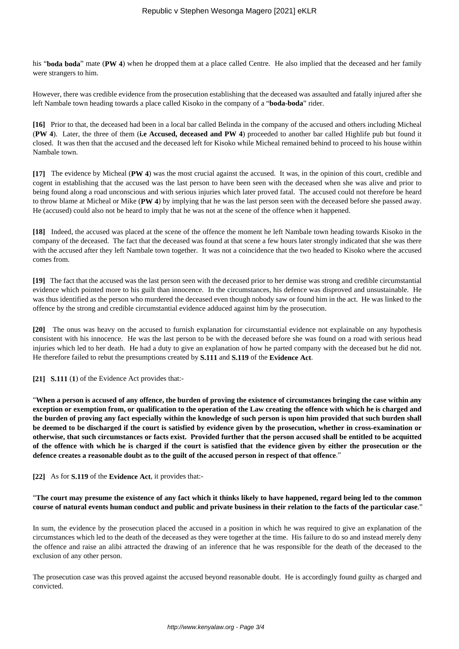his "**boda boda**" mate (**PW 4**) when he dropped them at a place called Centre. He also implied that the deceased and her family were strangers to him.

However, there was credible evidence from the prosecution establishing that the deceased was assaulted and fatally injured after she left Nambale town heading towards a place called Kisoko in the company of a "**boda-boda**" rider.

**[16]** Prior to that, the deceased had been in a local bar called Belinda in the company of the accused and others including Micheal (**PW 4**). Later, the three of them (**i.e Accused, deceased and PW 4**) proceeded to another bar called Highlife pub but found it closed. It was then that the accused and the deceased left for Kisoko while Micheal remained behind to proceed to his house within Nambale town.

**[17]** The evidence by Micheal (**PW 4**) was the most crucial against the accused. It was, in the opinion of this court, credible and cogent in establishing that the accused was the last person to have been seen with the deceased when she was alive and prior to being found along a road unconscious and with serious injuries which later proved fatal. The accused could not therefore be heard to throw blame at Micheal or Mike (**PW 4**) by implying that he was the last person seen with the deceased before she passed away. He (accused) could also not be heard to imply that he was not at the scene of the offence when it happened.

**[18]** Indeed, the accused was placed at the scene of the offence the moment he left Nambale town heading towards Kisoko in the company of the deceased. The fact that the deceased was found at that scene a few hours later strongly indicated that she was there with the accused after they left Nambale town together. It was not a coincidence that the two headed to Kisoko where the accused comes from.

**[19]** The fact that the accused was the last person seen with the deceased prior to her demise was strong and credible circumstantial evidence which pointed more to his guilt than innocence. In the circumstances, his defence was disproved and unsustainable. He was thus identified as the person who murdered the deceased even though nobody saw or found him in the act. He was linked to the offence by the strong and credible circumstantial evidence adduced against him by the prosecution.

**[20]** The onus was heavy on the accused to furnish explanation for circumstantial evidence not explainable on any hypothesis consistent with his innocence. He was the last person to be with the deceased before she was found on a road with serious head injuries which led to her death. He had a duty to give an explanation of how he parted company with the deceased but he did not. He therefore failed to rebut the presumptions created by **S.111** and **S.119** of the **Evidence Act**.

**[21] S.111** (**1**) of the Evidence Act provides that:-

"**When a person is accused of any offence, the burden of proving the existence of circumstances bringing the case within any exception or exemption from, or qualification to the operation of the Law creating the offence with which he is charged and the burden of proving any fact especially within the knowledge of such person is upon him provided that such burden shall be deemed to be discharged if the court is satisfied by evidence given by the prosecution, whether in cross-examination or otherwise, that such circumstances or facts exist. Provided further that the person accused shall be entitled to be acquitted of the offence with which he is charged if the court is satisfied that the evidence given by either the prosecution or the defence creates a reasonable doubt as to the guilt of the accused person in respect of that offence**."

#### **[22]** As for **S.119** of the **Evidence Act**, it provides that:-

#### "**The court may presume the existence of any fact which it thinks likely to have happened, regard being led to the common course of natural events human conduct and public and private business in their relation to the facts of the particular case**."

In sum, the evidence by the prosecution placed the accused in a position in which he was required to give an explanation of the circumstances which led to the death of the deceased as they were together at the time. His failure to do so and instead merely deny the offence and raise an alibi attracted the drawing of an inference that he was responsible for the death of the deceased to the exclusion of any other person.

The prosecution case was this proved against the accused beyond reasonable doubt. He is accordingly found guilty as charged and convicted.